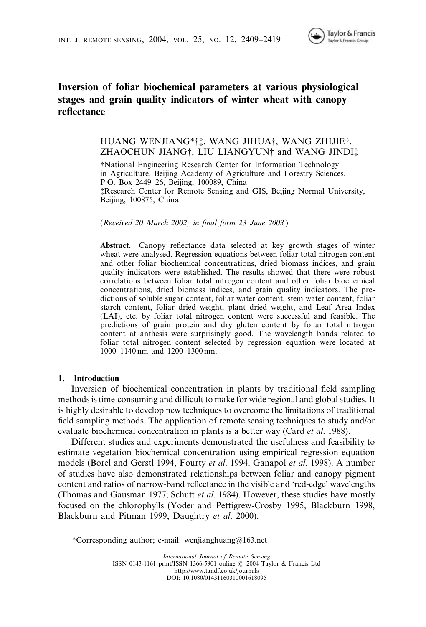# Inversion of foliar biochemical parameters at various physiological stages and grain quality indicators of winter wheat with canopy reflectance

# HUANG WENJIANG\*††, WANG JIHUA†, WANG ZHIJIE†, ZHAOCHUN JIANG<sup>†</sup>, LIU LIANGYUN<sup>†</sup> and WANG JINDI<sup>†</sup>

{National Engineering Research Center for Information Technology in Agriculture, Beijing Academy of Agriculture and Forestry Sciences, P.O. Box 2449–26, Beijing, 100089, China {Research Center for Remote Sensing and GIS, Beijing Normal University, Beijing, 100875, China

(Received 20 March 2002; in final form 23 June 2003 )

Abstract. Canopy reflectance data selected at key growth stages of winter wheat were analysed. Regression equations between foliar total nitrogen content and other foliar biochemical concentrations, dried biomass indices, and grain quality indicators were established. The results showed that there were robust correlations between foliar total nitrogen content and other foliar biochemical concentrations, dried biomass indices, and grain quality indicators. The predictions of soluble sugar content, foliar water content, stem water content, foliar starch content, foliar dried weight, plant dried weight, and Leaf Area Index (LAI), etc. by foliar total nitrogen content were successful and feasible. The predictions of grain protein and dry gluten content by foliar total nitrogen content at anthesis were surprisingly good. The wavelength bands related to foliar total nitrogen content selected by regression equation were located at 1000–1140 nm and 1200–1300 nm.

#### 1. Introduction

Inversion of biochemical concentration in plants by traditional field sampling methods is time-consuming and difficult to make for wide regional and global studies. It is highly desirable to develop new techniques to overcome the limitations of traditional field sampling methods. The application of remote sensing techniques to study and/or evaluate biochemical concentration in plants is a better way (Card *et al.* 1988).

Different studies and experiments demonstrated the usefulness and feasibility to estimate vegetation biochemical concentration using empirical regression equation models (Borel and Gerstl 1994, Fourty et al. 1994, Ganapol et al. 1998). A number of studies have also demonstrated relationships between foliar and canopy pigment content and ratios of narrow-band reflectance in the visible and 'red-edge' wavelengths (Thomas and Gausman 1977; Schutt et al. 1984). However, these studies have mostly focused on the chlorophylls (Yoder and Pettigrew-Crosby 1995, Blackburn 1998, Blackburn and Pitman 1999, Daughtry et al. 2000).

\*Corresponding author; e-mail: wenjianghuang@163.net

International Journal of Remote Sensing ISSN 0143-1161 print/ISSN 1366-5901 online © 2004 Taylor & Francis Ltd http://www.tandf.co.uk/journals DOI: 10.1080/01431160310001618095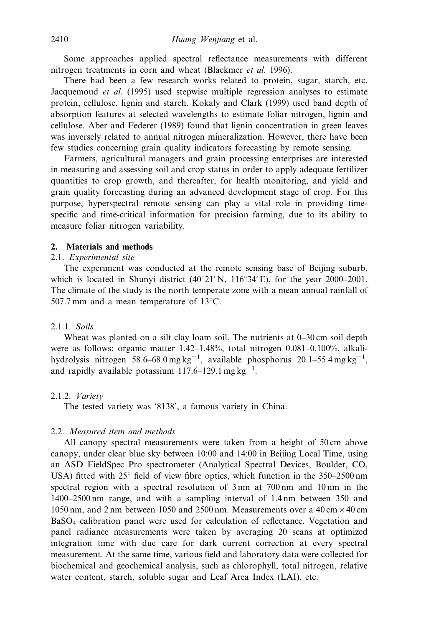Some approaches applied spectral reflectance measurements with different nitrogen treatments in corn and wheat (Blackmer et al. 1996).

There had been a few research works related to protein, sugar, starch, etc. Jacquemoud et al. (1995) used stepwise multiple regression analyses to estimate protein, cellulose, lignin and starch. Kokaly and Clark (1999) used band depth of absorption features at selected wavelengths to estimate foliar nitrogen, lignin and cellulose. Aber and Federer (1989) found that lignin concentration in green leaves was inversely related to annual nitrogen mineralization. However, there have been few studies concerning grain quality indicators forecasting by remote sensing.

Farmers, agricultural managers and grain processing enterprises are interested in measuring and assessing soil and crop status in order to apply adequate fertilizer quantities to crop growth, and thereafter, for health monitoring, and yield and grain quality forecasting during an advanced development stage of crop. For this purpose, hyperspectral remote sensing can play a vital role in providing timespecific and time-critical information for precision farming, due to its ability to measure foliar nitrogen variability.

#### 2. Materials and methods

### 2.1. Experimental site

The experiment was conducted at the remote sensing base of Beijing suburb, which is located in Shunyi district  $(40^{\circ}21' N, 116^{\circ}34' E)$ , for the year 2000–2001. The climate of the study is the north temperate zone with a mean annual rainfall of 507.7 mm and a mean temperature of  $13^{\circ}$ C.

# 2.1.1. Soils

Wheat was planted on a silt clay loam soil. The nutrients at 0–30 cm soil depth were as follows: organic matter 1.42–1.48%, total nitrogen 0.081–0.100%, alkalihydrolysis nitrogen 58.6–68.0 mg kg<sup>-1</sup>, available phosphorus 20.1–55.4 mg kg<sup>-1</sup>, and rapidly available potassium  $117.6 - 129.1$  mg kg<sup>-1</sup>.

#### 2.1.2. Variety

The tested variety was '8138', a famous variety in China.

## 2.2. Measured item and methods

All canopy spectral measurements were taken from a height of 50 cm above canopy, under clear blue sky between 10:00 and 14:00 in Beijing Local Time, using an ASD FieldSpec Pro spectrometer (Analytical Spectral Devices, Boulder, CO, USA) fitted with  $25^\circ$  field of view fibre optics, which function in the 350–2500 nm spectral region with a spectral resolution of 3 nm at 700 nm and 10 nm in the 1400–2500 nm range, and with a sampling interval of 1.4 nm between 350 and 1050 nm, and 2 nm between 1050 and 2500 nm. Measurements over a 40 cm  $\times$  40 cm BaSO4 calibration panel were used for calculation of reflectance. Vegetation and panel radiance measurements were taken by averaging 20 scans at optimized integration time with due care for dark current correction at every spectral measurement. At the same time, various field and laboratory data were collected for biochemical and geochemical analysis, such as chlorophyll, total nitrogen, relative water content, starch, soluble sugar and Leaf Area Index (LAI), etc.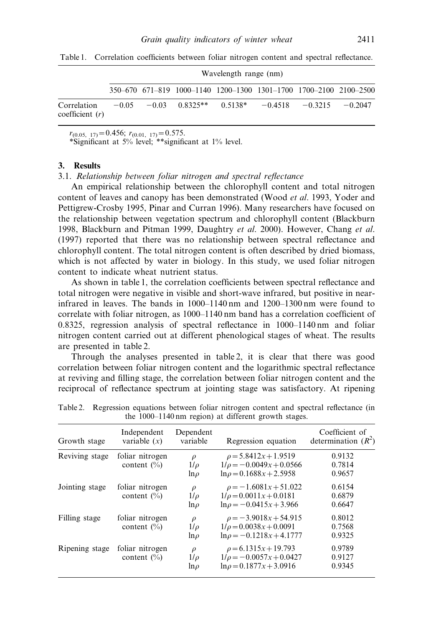|                                  | Wavelength range (nm) |  |                                                                   |  |  |                             |  |  |  |  |
|----------------------------------|-----------------------|--|-------------------------------------------------------------------|--|--|-----------------------------|--|--|--|--|
|                                  |                       |  | 350–670 671–819 1000–1140 1200–1300 1301–1700 1700–2100 2100–2500 |  |  |                             |  |  |  |  |
| Correlation<br>coefficient $(r)$ |                       |  | $-0.05$ $-0.03$ $0.8325**$ $0.5138*$                              |  |  | $-0.4518 - 0.3215 - 0.2047$ |  |  |  |  |

Table 1. Correlation coefficients between foliar nitrogen content and spectral reflectance.

 $r_{(0.05, 17)} = 0.456; r_{(0.01, 17)} = 0.575.$ 

\*Significant at  $5\%$  level; \*\*significant at  $1\%$  level.

#### 3. Results

3.1. Relationship between foliar nitrogen and spectral reflectance

An empirical relationship between the chlorophyll content and total nitrogen content of leaves and canopy has been demonstrated (Wood *et al.* 1993, Yoder and Pettigrew-Crosby 1995, Pinar and Curran 1996). Many researchers have focused on the relationship between vegetation spectrum and chlorophyll content (Blackburn 1998, Blackburn and Pitman 1999, Daughtry et al. 2000). However, Chang et al. (1997) reported that there was no relationship between spectral reflectance and chlorophyll content. The total nitrogen content is often described by dried biomass, which is not affected by water in biology. In this study, we used foliar nitrogen content to indicate wheat nutrient status.

As shown in table 1, the correlation coefficients between spectral reflectance and total nitrogen were negative in visible and short-wave infrared, but positive in nearinfrared in leaves. The bands in 1000–1140 nm and 1200–1300 nm were found to correlate with foliar nitrogen, as 1000–1140 nm band has a correlation coefficient of 0.8325, regression analysis of spectral reflectance in 1000–1140 nm and foliar nitrogen content carried out at different phenological stages of wheat. The results are presented in table 2.

Through the analyses presented in table 2, it is clear that there was good correlation between foliar nitrogen content and the logarithmic spectral reflectance at reviving and filling stage, the correlation between foliar nitrogen content and the reciprocal of reflectance spectrum at jointing stage was satisfactory. At ripening

|                | Independent                        |                                 |                                                                                             |                                         |
|----------------|------------------------------------|---------------------------------|---------------------------------------------------------------------------------------------|-----------------------------------------|
| Growth stage   | variable $(x)$                     | Dependent<br>variable           | Regression equation                                                                         | Coefficient of<br>determination $(R^2)$ |
| Reviving stage | foliar nitrogen<br>content $(\% )$ | $\rho$<br>$1/\rho$<br>$ln \rho$ | $\rho = 5.8412x + 1.9519$<br>$1/\rho = -0.0049x + 0.0566$<br>$\ln \rho = 0.1688x + 2.5958$  | 0.9132<br>0.7814<br>0.9657              |
| Jointing stage | foliar nitrogen<br>content $(\% )$ | $\rho$<br>$1/\rho$<br>$ln \rho$ | $\rho = -1.6081x + 51.022$<br>$1/\rho = 0.0011x + 0.0181$<br>$\ln \rho = -0.0415x + 3.966$  | 0.6154<br>0.6879<br>0.6647              |
| Filling stage  | foliar nitrogen<br>content $(\% )$ | $\rho$<br>$1/\rho$<br>$ln \rho$ | $\rho = -3.9018x + 54.915$<br>$1/\rho = 0.0038x + 0.0091$<br>$\ln \rho = -0.1218x + 4.1777$ | 0.8012<br>0.7568<br>0.9325              |
| Ripening stage | foliar nitrogen<br>content $(\% )$ | $\rho$<br>$1/\rho$<br>$ln \rho$ | $\rho = 6.1315x + 19.793$<br>$1/\rho = -0.0057x + 0.0427$<br>$\ln \rho = 0.1877x + 3.0916$  | 0.9789<br>0.9127<br>0.9345              |

Table 2. Regression equations between foliar nitrogen content and spectral reflectance (in the 1000–1140 nm region) at different growth stages.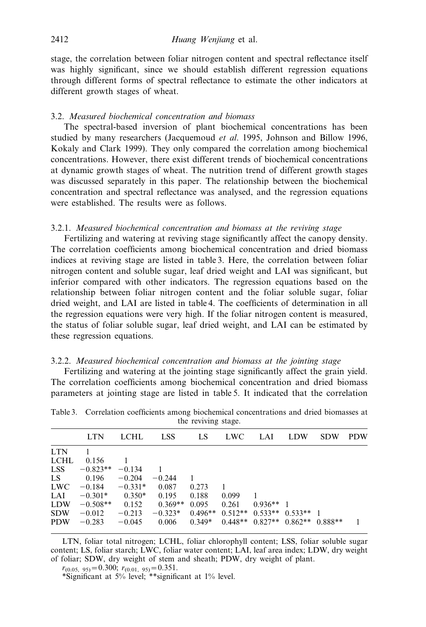stage, the correlation between foliar nitrogen content and spectral reflectance itself was highly significant, since we should establish different regression equations through different forms of spectral reflectance to estimate the other indicators at different growth stages of wheat.

### 3.2. Measured biochemical concentration and biomass

The spectral-based inversion of plant biochemical concentrations has been studied by many researchers (Jacquemoud et al. 1995, Johnson and Billow 1996, Kokaly and Clark 1999). They only compared the correlation among biochemical concentrations. However, there exist different trends of biochemical concentrations at dynamic growth stages of wheat. The nutrition trend of different growth stages was discussed separately in this paper. The relationship between the biochemical concentration and spectral reflectance was analysed, and the regression equations were established. The results were as follows.

#### 3.2.1. Measured biochemical concentration and biomass at the reviving stage

Fertilizing and watering at reviving stage significantly affect the canopy density. The correlation coefficients among biochemical concentration and dried biomass indices at reviving stage are listed in table 3. Here, the correlation between foliar nitrogen content and soluble sugar, leaf dried weight and LAI was significant, but inferior compared with other indicators. The regression equations based on the relationship between foliar nitrogen content and the foliar soluble sugar, foliar dried weight, and LAI are listed in table 4. The coefficients of determination in all the regression equations were very high. If the foliar nitrogen content is measured, the status of foliar soluble sugar, leaf dried weight, and LAI can be estimated by these regression equations.

#### 3.2.2. Measured biochemical concentration and biomass at the jointing stage

Fertilizing and watering at the jointing stage significantly affect the grain yield. The correlation coefficients among biochemical concentration and dried biomass parameters at jointing stage are listed in table 5. It indicated that the correlation

|            | <b>LTN</b> | <b>LCHL</b> | <b>LSS</b> | LS        | <b>LWC</b> | - LAI                           | <b>LDW</b>        | <b>SDW</b> | <b>PDW</b> |
|------------|------------|-------------|------------|-----------|------------|---------------------------------|-------------------|------------|------------|
| <b>LTN</b> |            |             |            |           |            |                                 |                   |            |            |
| LCHL       | 0.156      |             |            |           |            |                                 |                   |            |            |
| <b>LSS</b> | $-0.823**$ | $-0.134$    |            |           |            |                                 |                   |            |            |
| LS.        | 0.196      | $-0.204$    | $-0.244$   | -1        |            |                                 |                   |            |            |
| <b>LWC</b> | $-0.184$   | $-0.331*$   | 0.087      | 0.273     | -1         |                                 |                   |            |            |
| LAI        | $-0.301*$  | $0.350*$    | 0.195      | 0.188     | 0.099      | 1                               |                   |            |            |
| <b>LDW</b> | $-0.508**$ | 0.152       | $0.369**$  | 0.095     | 0.261      | $0.936**$ 1                     |                   |            |            |
| <b>SDW</b> | $-0.012$   | $-0.213$    | $-0.323*$  | $0.496**$ |            | $0.512**$ $0.533**$ $0.533**$ 1 |                   |            |            |
| <b>PDW</b> | $-0.283$   | $-0.045$    | 0.006      | $0.349*$  | $0.448**$  |                                 | $0.827**$ 0.862** | $0.888**$  |            |
|            |            |             |            |           |            |                                 |                   |            |            |

Table 3. Correlation coefficients among biochemical concentrations and dried biomasses at the reviving stage.

LTN, foliar total nitrogen; LCHL, foliar chlorophyll content; LSS, foliar soluble sugar content; LS, foliar starch; LWC, foliar water content; LAI, leaf area index; LDW, dry weight of foliar; SDW, dry weight of stem and sheath; PDW, dry weight of plant.

 $r_{(0.05, 95)} = 0.300; r_{(0.01, 95)} = 0.351.$ 

\*Significant at 5% level; \*\*significant at 1% level.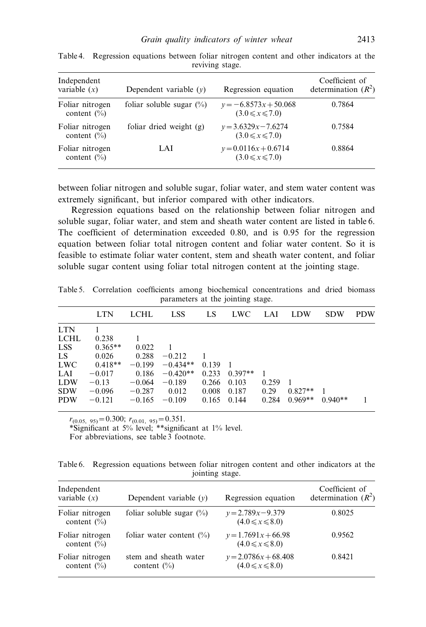| Independent<br>variable $(x)$      | Dependent variable $(v)$    | Regression equation                              | Coefficient of<br>determination $(R^2)$ |
|------------------------------------|-----------------------------|--------------------------------------------------|-----------------------------------------|
| Foliar nitrogen<br>content $(\% )$ | foliar soluble sugar $(\%)$ | $y = -6.8573x + 50.068$<br>$(3.0 \le x \le 7.0)$ | 0.7864                                  |
| Foliar nitrogen<br>content $(\% )$ | foliar dried weight $(g)$   | $y = 3.6329x - 7.6274$<br>$(3.0 \le x \le 7.0)$  | 0.7584                                  |
| Foliar nitrogen<br>content $(\% )$ | LAI                         | $y = 0.0116x + 0.6714$<br>$(3.0 \le x \le 7.0)$  | 0.8864                                  |

Table 4. Regression equations between foliar nitrogen content and other indicators at the reviving stage.

between foliar nitrogen and soluble sugar, foliar water, and stem water content was extremely significant, but inferior compared with other indicators.

Regression equations based on the relationship between foliar nitrogen and soluble sugar, foliar water, and stem and sheath water content are listed in table 6. The coefficient of determination exceeded 0.80, and is 0.95 for the regression equation between foliar total nitrogen content and foliar water content. So it is feasible to estimate foliar water content, stem and sheath water content, and foliar soluble sugar content using foliar total nitrogen content at the jointing stage.

|             | parameters at the jointing stage. |          |            |       |            |       |            |            |            |  |
|-------------|-----------------------------------|----------|------------|-------|------------|-------|------------|------------|------------|--|
|             | <b>LTN</b>                        | LCHL     | <b>LSS</b> | LS    | <b>LWC</b> | LAI   | <b>LDW</b> | <b>SDW</b> | <b>PDW</b> |  |
| <b>LTN</b>  |                                   |          |            |       |            |       |            |            |            |  |
| <b>LCHL</b> | 0.238                             |          |            |       |            |       |            |            |            |  |
| <b>LSS</b>  | $0.365**$                         | 0.022    |            |       |            |       |            |            |            |  |
| LS          | 0.026                             | 0.288    | $-0.212$   |       |            |       |            |            |            |  |
| <b>LWC</b>  | $0.418**$                         | $-0.199$ | $-0.434**$ | 0.139 |            |       |            |            |            |  |
| LAI         | $-0.017$                          | 0.186    | $-0.420**$ | 0.233 | $0.397**$  |       |            |            |            |  |
| <b>LDW</b>  | $-0.13$                           | $-0.064$ | $-0.189$   | 0.266 | 0.103      | 0.259 |            |            |            |  |
| <b>SDW</b>  | $-0.096$                          | $-0.287$ | 0.012      | 0.008 | 0.187      | 0.29  | $0.827**$  |            |            |  |

PDW  $-0.121$   $-0.165$   $-0.109$  0.165 0.144 0.284 0.969\*\* 0.940\*\* 1

Table 5. Correlation coefficients among biochemical concentrations and dried biomass

 $r_{(0.05, 95)} = 0.300; r_{(0.01, 95)} = 0.351.$ 

\*Significant at 5% level; \*\*significant at 1% level. For abbreviations, see table 3 footnote.

Table 6. Regression equations between foliar nitrogen content and other indicators at the jointing stage.

| Independent<br>variable $(x)$      | Dependent variable $(v)$                        | Regression equation                             | Coefficient of<br>determination $(R^2)$ |
|------------------------------------|-------------------------------------------------|-------------------------------------------------|-----------------------------------------|
| Foliar nitrogen<br>content $(\% )$ | foliar soluble sugar $(\%)$                     | $y = 2.789x - 9.379$<br>$(4.0 \le x \le 8.0)$   | 0.8025                                  |
| Foliar nitrogen<br>content $(\% )$ | foliar water content $(\%)$                     | $y=1.7691x+66.98$<br>$(4.0 \le x \le 8.0)$      | 0.9562                                  |
| Foliar nitrogen<br>content $(\% )$ | stem and sheath water<br>content $\binom{0}{0}$ | $y = 2.0786x + 68.408$<br>$(4.0 \le x \le 8.0)$ | 0.8421                                  |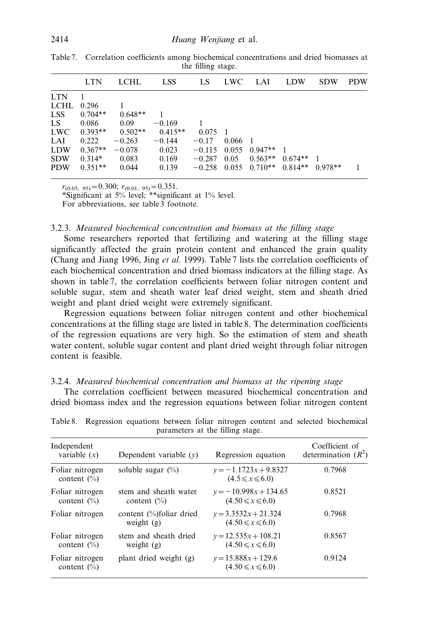|            | <b>LTN</b>     | LCHL.     | LSS.      | LS.             | LWC –     | - LAI                                  | <b>LDW</b> | <b>SDW</b> | <b>PDW</b> |
|------------|----------------|-----------|-----------|-----------------|-----------|----------------------------------------|------------|------------|------------|
| <b>LTN</b> | $\overline{1}$ |           |           |                 |           |                                        |            |            |            |
| LCHL       | 0.296          |           |           |                 |           |                                        |            |            |            |
| LSS -      | $0.704**$      | $0.648**$ | 1         |                 |           |                                        |            |            |            |
| LS.        | 0.086          | 0.09      | $-0.169$  |                 |           |                                        |            |            |            |
| <b>LWC</b> | $0.393**$      | $0.502**$ | $0.415**$ | $0.075 \quad 1$ |           |                                        |            |            |            |
| LAI        | 0.222          | $-0.263$  | $-0.144$  | $-0.17$         | $0.066$ 1 |                                        |            |            |            |
| <b>LDW</b> | $0.367**$      | $-0.078$  | 0.023     |                 |           | $-0.115$ 0.055 0.947** 1               |            |            |            |
| <b>SDW</b> | $0.314*$       | 0.083     | 0.169     | $-0.287$ 0.05   |           | $0.563**$ $0.674**$ 1                  |            |            |            |
| <b>PDW</b> | $0.351**$      | 0.044     | 0.139     |                 |           | $-0.258$ 0.055 0.710** 0.814** 0.978** |            |            |            |

Table 7. Correlation coefficients among biochemical concentrations and dried biomasses at the filling stage.

 $r_{(0.05, 95)} = 0.300; r_{(0.01, 95)} = 0.351.$ 

\*Significant at 5% level; \*\*significant at 1% level.

For abbreviations, see table 3 footnote.

#### 3.2.3. Measured biochemical concentration and biomass at the filling stage

Some researchers reported that fertilizing and watering at the filling stage significantly affected the grain protein content and enhanced the grain quality (Chang and Jiang 1996, Jing et al. 1999). Table 7 lists the correlation coefficients of each biochemical concentration and dried biomass indicators at the filling stage. As shown in table 7, the correlation coefficients between foliar nitrogen content and soluble sugar, stem and sheath water leaf dried weight, stem and sheath dried weight and plant dried weight were extremely significant.

Regression equations between foliar nitrogen content and other biochemical concentrations at the filling stage are listed in table 8. The determination coefficients of the regression equations are very high. So the estimation of stem and sheath water content, soluble sugar content and plant dried weight through foliar nitrogen content is feasible.

### 3.2.4. Measured biochemical concentration and biomass at the ripening stage

The correlation coefficient between measured biochemical concentration and dried biomass index and the regression equations between foliar nitrogen content

| Independent<br>variable $(x)$      | Dependent variable $(v)$                 | Regression equation                               | Coefficient of<br>determination $(R^2)$ |
|------------------------------------|------------------------------------------|---------------------------------------------------|-----------------------------------------|
| Foliar nitrogen<br>content $(\% )$ | soluble sugar $(\% )$                    | $y = -1.1723x + 9.8327$<br>$(4.5 \le x \le 6.0)$  | 0.7968                                  |
| Foliar nitrogen<br>content $(\% )$ | stem and sheath water<br>content $(\% )$ | $y = -10.998x + 134.65$<br>$(4.50 \le x \le 6.0)$ | 0.8521                                  |
| Foliar nitrogen                    | content (%)foliar dried<br>weight $(g)$  | $v = 3.3532x + 21.324$<br>$(4.50 \le x \le 6.0)$  | 0.7968                                  |
| Foliar nitrogen<br>content $(\% )$ | stem and sheath dried<br>weight $(g)$    | $y=12.535x+108.21$<br>$(4.50 \le x \le 6.0)$      | 0.8567                                  |
| Foliar nitrogen<br>content $(\% )$ | plant dried weight (g)                   | $v = 15.888x + 129.6$<br>$(4.50 \le x \le 6.0)$   | 0.9124                                  |
|                                    |                                          |                                                   |                                         |

Table 8. Regression equations between foliar nitrogen content and selected biochemical parameters at the filling stage.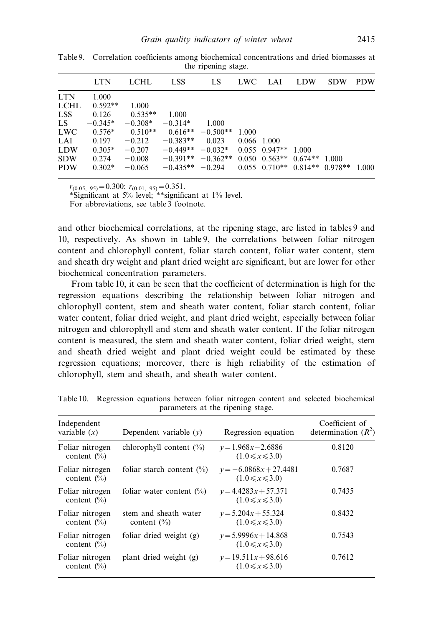|            | <b>LTN</b> | LCHL-             | LSS -                                             | LS.                                                      | LWC LAI       | <b>LDW</b> | <b>SDW</b> | <b>PDW</b> |
|------------|------------|-------------------|---------------------------------------------------|----------------------------------------------------------|---------------|------------|------------|------------|
| <b>LTN</b> | 1.000      |                   |                                                   |                                                          |               |            |            |            |
| LCHL       | $0.592**$  | 1.000             |                                                   |                                                          |               |            |            |            |
| LSS.       |            | $0.126$ $0.535**$ | 1.000                                             |                                                          |               |            |            |            |
| LS         | $-0.345*$  |                   | $-0.308* -0.314* 1.000$                           |                                                          |               |            |            |            |
| <b>LWC</b> |            |                   | $0.576*$ $0.510**$ $0.616**$ $-0.500**$ 1.000     |                                                          |               |            |            |            |
| LAI.       | 0.197      | $-0.212$          | $-0.383**$                                        | 0.023                                                    | $0.066$ 1.000 |            |            |            |
| <b>LDW</b> | $0.305*$   |                   | $-0.207$ $-0.449**$ $-0.032*$ 0.055 0.947** 1.000 |                                                          |               |            |            |            |
| <b>SDW</b> | 0.274      | $-0.008$          |                                                   | $-0.391**$ $-0.362**$ 0.050 0.563** 0.674** 1.000        |               |            |            |            |
| <b>PDW</b> | $0.302*$   | $-0.065$          |                                                   | $-0.435***$ $-0.294$ 0.055 0.710** 0.814** 0.978** 1.000 |               |            |            |            |

Table 9. Correlation coefficients among biochemical concentrations and dried biomasses at the ripening stage.

 $r_{(0.05, 95)} = 0.300; r_{(0.01, 95)} = 0.351.$ 

\*Significant at 5% level; \*\*significant at 1% level.

For abbreviations, see table 3 footnote.

and other biochemical correlations, at the ripening stage, are listed in tables 9 and 10, respectively. As shown in table 9, the correlations between foliar nitrogen content and chlorophyll content, foliar starch content, foliar water content, stem and sheath dry weight and plant dried weight are significant, but are lower for other biochemical concentration parameters.

From table 10, it can be seen that the coefficient of determination is high for the regression equations describing the relationship between foliar nitrogen and chlorophyll content, stem and sheath water content, foliar starch content, foliar water content, foliar dried weight, and plant dried weight, especially between foliar nitrogen and chlorophyll and stem and sheath water content. If the foliar nitrogen content is measured, the stem and sheath water content, foliar dried weight, stem and sheath dried weight and plant dried weight could be estimated by these regression equations; moreover, there is high reliability of the estimation of chlorophyll, stem and sheath, and sheath water content.

| Independent<br>variable $(x)$      | Dependent variable $(v)$                 | Regression equation                               | Coefficient of<br>determination $(R^2)$ |
|------------------------------------|------------------------------------------|---------------------------------------------------|-----------------------------------------|
| Foliar nitrogen<br>content $(\% )$ | chlorophyll content $(\% )$              | $v = 1.968x - 2.6886$<br>$(1.0 \le x \le 3.0)$    | 0.8120                                  |
| Foliar nitrogen<br>content $(\% )$ | foliar starch content $(\% )$            | $y = -6.0868x + 27.4481$<br>$(1.0 \le x \le 3.0)$ | 0.7687                                  |
| Foliar nitrogen<br>content $(\% )$ | foliar water content $(\%)$              | $y=4.4283x+57.371$<br>$(1.0 \le x \le 3.0)$       | 0.7435                                  |
| Foliar nitrogen<br>content $(\% )$ | stem and sheath water<br>content $(\% )$ | $v = 5.204x + 55.324$<br>$(1.0 \le x \le 3.0)$    | 0.8432                                  |
| Foliar nitrogen<br>content $(\% )$ | foliar dried weight $(g)$                | $v = 5.9996x + 14.868$<br>$(1.0 \le x \le 3.0)$   | 0.7543                                  |
| Foliar nitrogen<br>content $(\% )$ | plant dried weight (g)                   | $y=19.511x+98.616$<br>$(1.0 \le x \le 3.0)$       | 0.7612                                  |

Table 10. Regression equations between foliar nitrogen content and selected biochemical parameters at the ripening stage.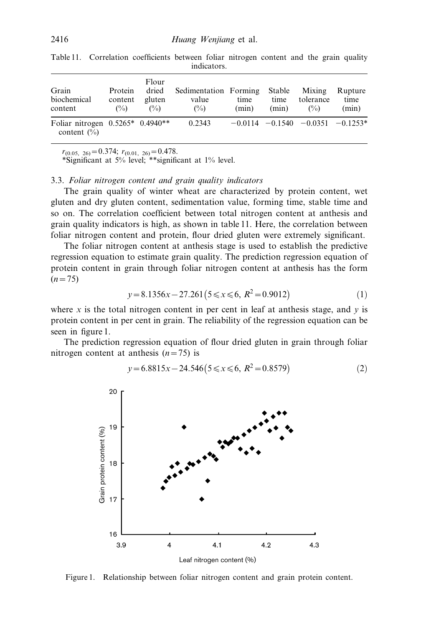| Grain<br>biochemical<br>content                              | Protein<br>content<br>$\binom{0}{0}$ | Flour<br>dried<br>gluten<br>$\binom{0}{0}$ | Sedimentation Forming<br>value<br>$\binom{0}{0}$ | time<br>(min) | Stable<br>time<br>(min) | Mixing<br>tolerance<br>$\binom{0}{0}$    | Rupture<br>time<br>(min) |
|--------------------------------------------------------------|--------------------------------------|--------------------------------------------|--------------------------------------------------|---------------|-------------------------|------------------------------------------|--------------------------|
| Foliar nitrogen $0.5265*$ 0.4940**<br>content $\binom{0}{0}$ |                                      |                                            | 0.2343                                           |               |                         | $-0.0114$ $-0.1540$ $-0.0351$ $-0.1253*$ |                          |

Table 11. Correlation coefficients between foliar nitrogen content and the grain quality indicators.

 $r_{(0.05, 26)} = 0.374; r_{(0.01, 26)} = 0.478.$ 

\*Significant at 5% level; \*\*significant at 1% level.

#### 3.3. Foliar nitrogen content and grain quality indicators

The grain quality of winter wheat are characterized by protein content, wet gluten and dry gluten content, sedimentation value, forming time, stable time and so on. The correlation coefficient between total nitrogen content at anthesis and grain quality indicators is high, as shown in table 11. Here, the correlation between foliar nitrogen content and protein, flour dried gluten were extremely significant.

The foliar nitrogen content at anthesis stage is used to establish the predictive regression equation to estimate grain quality. The prediction regression equation of protein content in grain through foliar nitrogen content at anthesis has the form  $(n=75)$ 

$$
y = 8.1356x - 27.261(5 \le x \le 6, R^2 = 0.9012)
$$
 (1)

where x is the total nitrogen content in per cent in leaf at anthesis stage, and  $y$  is protein content in per cent in grain. The reliability of the regression equation can be seen in figure 1.

The prediction regression equation of flour dried gluten in grain through foliar nitrogen content at anthesis  $(n=75)$  is

$$
y = 6.8815x - 24.546(5 \le x \le 6, R^2 = 0.8579)
$$
 (2)



Figure 1. Relationship between foliar nitrogen content and grain protein content.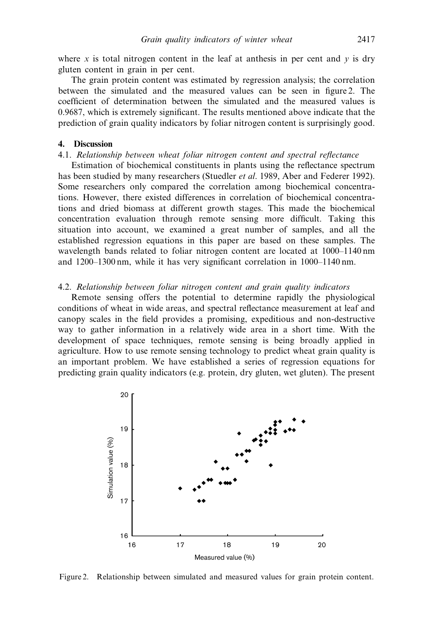where x is total nitrogen content in the leaf at anthesis in per cent and  $y$  is dry gluten content in grain in per cent.

The grain protein content was estimated by regression analysis; the correlation between the simulated and the measured values can be seen in figure 2. The coefficient of determination between the simulated and the measured values is 0.9687, which is extremely significant. The results mentioned above indicate that the prediction of grain quality indicators by foliar nitrogen content is surprisingly good.

## 4. Discussion

### 4.1. Relationship between wheat foliar nitrogen content and spectral reflectance

Estimation of biochemical constituents in plants using the reflectance spectrum has been studied by many researchers (Stuedler *et al.* 1989, Aber and Federer 1992). Some researchers only compared the correlation among biochemical concentrations. However, there existed differences in correlation of biochemical concentrations and dried biomass at different growth stages. This made the biochemical concentration evaluation through remote sensing more difficult. Taking this situation into account, we examined a great number of samples, and all the established regression equations in this paper are based on these samples. The wavelength bands related to foliar nitrogen content are located at 1000–1140 nm and 1200–1300 nm, while it has very significant correlation in 1000–1140 nm.

#### 4.2. Relationship between foliar nitrogen content and grain quality indicators

Remote sensing offers the potential to determine rapidly the physiological conditions of wheat in wide areas, and spectral reflectance measurement at leaf and canopy scales in the field provides a promising, expeditious and non-destructive way to gather information in a relatively wide area in a short time. With the development of space techniques, remote sensing is being broadly applied in agriculture. How to use remote sensing technology to predict wheat grain quality is an important problem. We have established a series of regression equations for predicting grain quality indicators (e.g. protein, dry gluten, wet gluten). The present



Figure 2. Relationship between simulated and measured values for grain protein content.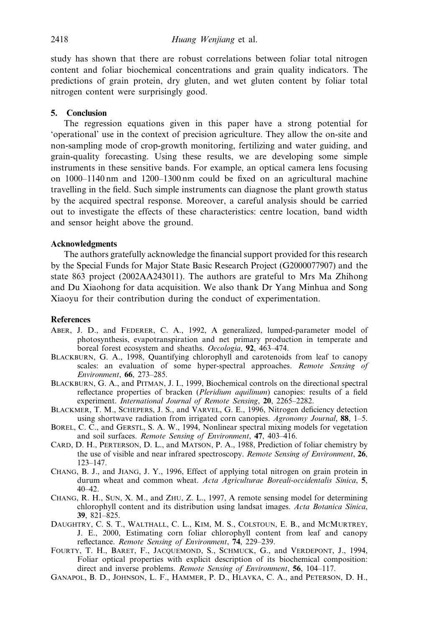study has shown that there are robust correlations between foliar total nitrogen content and foliar biochemical concentrations and grain quality indicators. The predictions of grain protein, dry gluten, and wet gluten content by foliar total nitrogen content were surprisingly good.

# 5. Conclusion

The regression equations given in this paper have a strong potential for 'operational' use in the context of precision agriculture. They allow the on-site and non-sampling mode of crop-growth monitoring, fertilizing and water guiding, and grain-quality forecasting. Using these results, we are developing some simple instruments in these sensitive bands. For example, an optical camera lens focusing on 1000–1140 nm and 1200–1300 nm could be fixed on an agricultural machine travelling in the field. Such simple instruments can diagnose the plant growth status by the acquired spectral response. Moreover, a careful analysis should be carried out to investigate the effects of these characteristics: centre location, band width and sensor height above the ground.

# **Acknowledgments**

The authors gratefully acknowledge the financial support provided for this research by the Special Funds for Major State Basic Research Project (G2000077907) and the state 863 project (2002AA243011). The authors are grateful to Mrs Ma Zhihong and Du Xiaohong for data acquisition. We also thank Dr Yang Minhua and Song Xiaoyu for their contribution during the conduct of experimentation.

#### **References**

- ABER, J. D., and FEDERER, C. A., 1992, A generalized, lumped-parameter model of photosynthesis, evapotranspiration and net primary production in temperate and boreal forest ecosystem and sheaths. Oecologia, 92, 463–474.
- BLACKBURN, G. A., 1998, Quantifying chlorophyll and carotenoids from leaf to canopy scales: an evaluation of some hyper-spectral approaches. Remote Sensing of Environment, 66, 273–285.
- BLACKBURN, G. A., and PITMAN, J. I., 1999, Biochemical controls on the directional spectral reflectance properties of bracken (Pleridium aquilinum) canopies: results of a field experiment. International Journal of Remote Sensing, 20, 2265-2282.
- BLACKMER, T. M., SCHEPERS, J. S., and VARVEL, G. E., 1996, Nitrogen deficiency detection using shortwave radiation from irrigated corn canopies. Agronomy Journal, 88, 1–5.
- BOREL, C. C., and GERSTL, S. A. W., 1994, Nonlinear spectral mixing models for vegetation and soil surfaces. Remote Sensing of Environment, 47, 403–416.
- CARD, D. H., PERTERSON, D. L., and MATSON, P. A., 1988, Prediction of foliar chemistry by the use of visible and near infrared spectroscopy. Remote Sensing of Environment, 26, 123–147.
- CHANG, B. J., and JIANG, J. Y., 1996, Effect of applying total nitrogen on grain protein in durum wheat and common wheat. Acta Agriculturae Boreali-occidentalis Sinica, 5, 40–42.
- CHANG, R. H., SUN, X. M., and ZHU, Z. L., 1997, A remote sensing model for determining chlorophyll content and its distribution using landsat images. Acta Botanica Sinica, 39, 821–825.
- DAUGHTRY, C. S. T., WALTHALL, C. L., KIM, M. S., COLSTOUN, E. B., and MCMURTREY, J. E., 2000, Estimating corn foliar chlorophyll content from leaf and canopy reflectance. Remote Sensing of Environment, 74, 229–239.
- FOURTY, T. H., BARET, F., JACQUEMOND, S., SCHMUCK, G., and VERDEPONT, J., 1994, Foliar optical properties with explicit description of its biochemical composition: direct and inverse problems. Remote Sensing of Environment, 56, 104–117.
- GANAPOL, B. D., JOHNSON, L. F., HAMMER, P. D., HLAVKA, C. A., and PETERSON, D. H.,